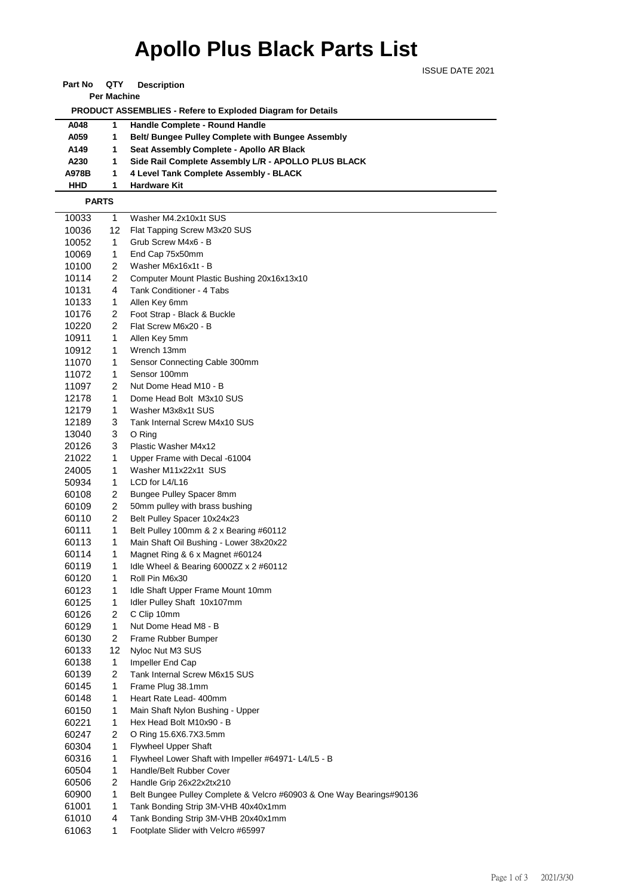## **Apollo Plus Black Parts List**

ISSUE DATE 2021

**Part No QTY Description** 

**Per Machine**

 **PRODUCT ASSEMBLIES - Refere to Exploded Diagram for Details** 

| A048  | Handle Complete - Round Handle                           |
|-------|----------------------------------------------------------|
| A059  | <b>Belt/ Bungee Pulley Complete with Bungee Assembly</b> |
| A149  | Seat Assembly Complete - Apollo AR Black                 |
| A230  | Side Rail Complete Assembly L/R - APOLLO PLUS BLACK      |
| A978B | 4 Level Tank Complete Assembly - BLACK                   |
| HHD   | <b>Hardware Kit</b>                                      |

 **PARTS**

| 10033 | 1              | Washer M4.2x10x1t SUS                                                |
|-------|----------------|----------------------------------------------------------------------|
| 10036 | 12             | Flat Tapping Screw M3x20 SUS                                         |
| 10052 | 1              | Grub Screw M4x6 - B                                                  |
| 10069 | 1              | End Cap 75x50mm                                                      |
| 10100 | 2              | Washer M6x16x1t - B                                                  |
| 10114 | 2              | Computer Mount Plastic Bushing 20x16x13x10                           |
| 10131 | 4              | Tank Conditioner - 4 Tabs                                            |
| 10133 | 1              | Allen Key 6mm                                                        |
| 10176 | 2              | Foot Strap - Black & Buckle                                          |
| 10220 | 2              | Flat Screw M6x20 - B                                                 |
| 10911 | 1              | Allen Key 5mm                                                        |
| 10912 | 1              | Wrench 13mm                                                          |
| 11070 | 1              | Sensor Connecting Cable 300mm                                        |
| 11072 | 1              | Sensor 100mm                                                         |
| 11097 | 2              | Nut Dome Head M10 - B                                                |
| 12178 | 1              | Dome Head Bolt M3x10 SUS                                             |
| 12179 | 1              | Washer M3x8x1t SUS                                                   |
| 12189 | 3              | Tank Internal Screw M4x10 SUS                                        |
| 13040 | 3              | O Ring                                                               |
| 20126 | 3              | Plastic Washer M4x12                                                 |
| 21022 | 1              | Upper Frame with Decal -61004                                        |
| 24005 | 1              | Washer M11x22x1t SUS                                                 |
| 50934 | 1              | LCD for L4/L16                                                       |
| 60108 | 2              | Bungee Pulley Spacer 8mm                                             |
| 60109 | 2              | 50mm pulley with brass bushing                                       |
| 60110 | $\overline{c}$ | Belt Pulley Spacer 10x24x23                                          |
| 60111 | 1              | Belt Pulley 100mm & 2 x Bearing #60112                               |
| 60113 | 1              | Main Shaft Oil Bushing - Lower 38x20x22                              |
| 60114 | 1              | Magnet Ring & 6 x Magnet #60124                                      |
| 60119 | 1              | Idle Wheel & Bearing 6000ZZ $\times$ 2 #60112                        |
| 60120 | 1              | Roll Pin M6x30                                                       |
| 60123 | 1              | Idle Shaft Upper Frame Mount 10mm                                    |
| 60125 | 1              | Idler Pulley Shaft 10x107mm                                          |
| 60126 | 2              | C Clip 10mm                                                          |
| 60129 | $\mathbf{1}$   | Nut Dome Head M8 - B                                                 |
| 60130 | 2              | Frame Rubber Bumper                                                  |
| 60133 | 12             | Nyloc Nut M3 SUS                                                     |
| 60138 | 1              | Impeller End Cap                                                     |
| 60139 | 2              | Tank Internal Screw M6x15 SUS                                        |
| 60145 | 1              | Frame Plug 38.1mm                                                    |
| 60148 | 1              | Heart Rate Lead- 400mm                                               |
| 60150 | 1              | Main Shaft Nylon Bushing - Upper                                     |
| 60221 | 1              | Hex Head Bolt M10x90 - B                                             |
| 60247 | $\overline{c}$ | O Ring 15.6X6.7X3.5mm                                                |
| 60304 | 1              | <b>Flywheel Upper Shaft</b>                                          |
| 60316 | 1              | Flywheel Lower Shaft with Impeller #64971- L4/L5 - B                 |
| 60504 | 1              | Handle/Belt Rubber Cover                                             |
| 60506 | 2              | Handle Grip 26x22x2tx210                                             |
| 60900 | 1              | Belt Bungee Pulley Complete & Velcro #60903 & One Way Bearings#90136 |
| 61001 | 1              | Tank Bonding Strip 3M-VHB 40x40x1mm                                  |
| 61010 | 4              | Tank Bonding Strip 3M-VHB 20x40x1mm                                  |
| 61063 | 1              | Enotplate Slider with Veloro #65997                                  |

1 Footplate Slider with Velcro #65997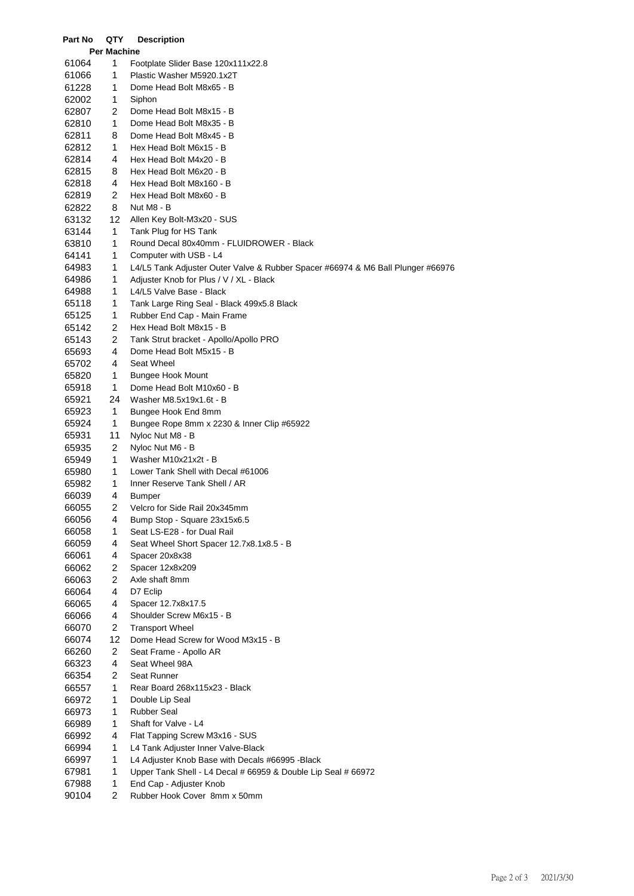| Part No        | QTY                     | <b>Description</b>                                                              |
|----------------|-------------------------|---------------------------------------------------------------------------------|
|                | Per Machine             |                                                                                 |
| 61064          | 1                       | Footplate Slider Base 120x111x22.8                                              |
| 61066          | 1                       | Plastic Washer M5920.1x2T                                                       |
| 61228          | 1                       | Dome Head Bolt M8x65 - B                                                        |
| 62002          | 1                       | Siphon                                                                          |
| 62807          | 2                       | Dome Head Bolt M8x15 - B                                                        |
| 62810          | 1                       | Dome Head Bolt M8x35 - B                                                        |
| 62811          | 8                       | Dome Head Bolt M8x45 - B                                                        |
| 62812          | 1                       | Hex Head Bolt M6x15 - B                                                         |
| 62814          | 4                       | Hex Head Bolt M4x20 - B                                                         |
| 62815          | 8                       | Hex Head Bolt M6x20 - B                                                         |
| 62818          | 4                       | Hex Head Bolt M8x160 - B                                                        |
| 62819          | 2                       | Hex Head Bolt M8x60 - B                                                         |
| 62822          | 8                       | Nut M8 - B                                                                      |
| 63132          | 12                      | Allen Key Bolt-M3x20 - SUS                                                      |
| 63144          | 1                       | Tank Plug for HS Tank                                                           |
| 63810          | 1                       | Round Decal 80x40mm - FLUIDROWER - Black                                        |
| 64141          | 1                       | Computer with USB - L4                                                          |
| 64983          | 1                       | L4/L5 Tank Adjuster Outer Valve & Rubber Spacer #66974 & M6 Ball Plunger #66976 |
| 64986          | 1<br>1                  | Adjuster Knob for Plus / V / XL - Black                                         |
| 64988<br>65118 | 1                       | L4/L5 Valve Base - Black<br>Tank Large Ring Seal - Black 499x5.8 Black          |
| 65125          | 1                       | Rubber End Cap - Main Frame                                                     |
| 65142          | 2                       | Hex Head Bolt M8x15 - B                                                         |
| 65143          | $\overline{\mathbf{c}}$ | Tank Strut bracket - Apollo/Apollo PRO                                          |
| 65693          | 4                       | Dome Head Bolt M5x15 - B                                                        |
| 65702          | 4                       | Seat Wheel                                                                      |
| 65820          | 1                       | <b>Bungee Hook Mount</b>                                                        |
| 65918          | 1                       | Dome Head Bolt M10x60 - B                                                       |
| 65921          | 24                      | Washer M8.5x19x1.6t - B                                                         |
| 65923          | 1                       | Bungee Hook End 8mm                                                             |
| 65924          | 1                       | Bungee Rope 8mm x 2230 & Inner Clip #65922                                      |
| 65931          | 11                      | Nyloc Nut M8 - B                                                                |
| 65935          | 2                       | Nyloc Nut M6 - B                                                                |
| 65949          | 1                       | Washer M10x21x2t - B                                                            |
| 65980          | 1                       | Lower Tank Shell with Decal #61006                                              |
| 65982          | 1                       | Inner Reserve Tank Shell / AR                                                   |
| 66039          | 4                       | Bumper                                                                          |
| 66055          | $\overline{\mathbf{c}}$ | Velcro for Side Rail 20x345mm                                                   |
| 66056          | 4                       | Bump Stop - Square 23x15x6.5                                                    |
| 66058          | 1                       | Seat LS-E28 - for Dual Rail                                                     |
| 66059          | 4                       | Seat Wheel Short Spacer 12.7x8.1x8.5 - B                                        |
| 66061          | 4                       | Spacer 20x8x38                                                                  |
| 66062          | 2                       | Spacer 12x8x209                                                                 |
| 66063          | 2                       | Axle shaft 8mm                                                                  |
| 66064          | 4                       | D7 Eclip                                                                        |
| 66065          | 4                       | Spacer 12.7x8x17.5                                                              |
| 66066          | 4                       | Shoulder Screw M6x15 - B                                                        |
| 66070          | 2                       | <b>Transport Wheel</b>                                                          |
| 66074          | 12                      | Dome Head Screw for Wood M3x15 - B                                              |
| 66260<br>66323 | 2<br>4                  | Seat Frame - Apollo AR<br>Seat Wheel 98A                                        |
| 66354          | 2                       | Seat Runner                                                                     |
| 66557          | 1                       | Rear Board 268x115x23 - Black                                                   |
| 66972          | 1                       | Double Lip Seal                                                                 |
| 66973          | 1                       | <b>Rubber Seal</b>                                                              |
| 66989          | 1                       | Shaft for Valve - L4                                                            |
| 66992          | 4                       | Flat Tapping Screw M3x16 - SUS                                                  |
| 66994          | 1                       | L4 Tank Adjuster Inner Valve-Black                                              |
| 66997          | 1                       | L4 Adjuster Knob Base with Decals #66995 - Black                                |
| 67981          | 1                       | Upper Tank Shell - L4 Decal # 66959 & Double Lip Seal # 66972                   |
| 67988          | 1                       | End Cap - Adjuster Knob                                                         |
| 90104          | 2                       | Rubber Hook Cover 8mm x 50mm                                                    |